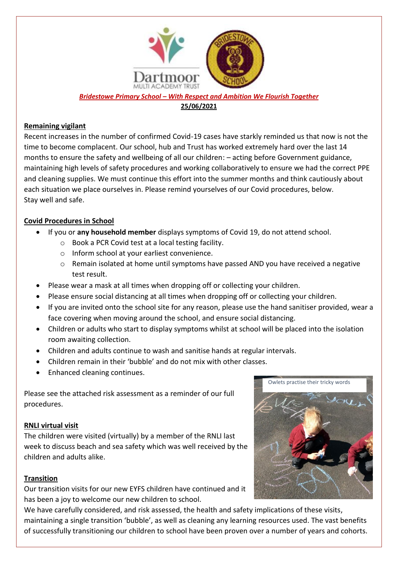

*Bridestowe Primary School – With Respect and Ambition We Flourish Together* **25/06/2021**

## **Remaining vigilant**

Recent increases in the number of confirmed Covid-19 cases have starkly reminded us that now is not the time to become complacent. Our school, hub and Trust has worked extremely hard over the last 14 months to ensure the safety and wellbeing of all our children: – acting before Government guidance, maintaining high levels of safety procedures and working collaboratively to ensure we had the correct PPE and cleaning supplies. We must continue this effort into the summer months and think cautiously about each situation we place ourselves in. Please remind yourselves of our Covid procedures, below. Stay well and safe.

# **Covid Procedures in School**

- If you or **any household member** displays symptoms of Covid 19, do not attend school.
	- o Book a PCR Covid test at a local testing facility.
	- o Inform school at your earliest convenience.
	- o Remain isolated at home until symptoms have passed AND you have received a negative test result.
- Please wear a mask at all times when dropping off or collecting your children.
- Please ensure social distancing at all times when dropping off or collecting your children.
- If you are invited onto the school site for any reason, please use the hand sanitiser provided, wear a face covering when moving around the school, and ensure social distancing.
- Children or adults who start to display symptoms whilst at school will be placed into the isolation room awaiting collection.
- Children and adults continue to wash and sanitise hands at regular intervals.
- Children remain in their 'bubble' and do not mix with other classes.
- Enhanced cleaning continues.

Please see the attached risk assessment as a reminder of our full procedures.

# **RNLI virtual visit**

The children were visited (virtually) by a member of the RNLI last week to discuss beach and sea safety which was well received by the children and adults alike.

# **Transition**

Our transition visits for our new EYFS children have continued and it has been a joy to welcome our new children to school.

We have carefully considered, and risk assessed, the health and safety implications of these visits, maintaining a single transition 'bubble', as well as cleaning any learning resources used. The vast benefits of successfully transitioning our children to school have been proven over a number of years and cohorts.

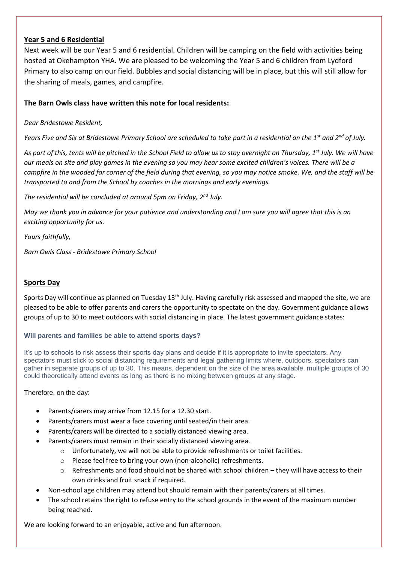## **Year 5 and 6 Residential**

Next week will be our Year 5 and 6 residential. Children will be camping on the field with activities being hosted at Okehampton YHA. We are pleased to be welcoming the Year 5 and 6 children from Lydford Primary to also camp on our field. Bubbles and social distancing will be in place, but this will still allow for the sharing of meals, games, and campfire.

## **The Barn Owls class have written this note for local residents:**

#### *Dear Bridestowe Resident,*

*Years Five and Six at Bridestowe Primary School are scheduled to take part in a residential on the 1st and 2nd of July.*

*As part of this, tents will be pitched in the School Field to allow us to stay overnight on Thursday, 1st July. We will have our meals on site and play games in the evening so you may hear some excited children's voices. There will be a campfire in the wooded far corner of the field during that evening, so you may notice smoke. We, and the staff will be transported to and from the School by coaches in the mornings and early evenings.*

*The residential will be concluded at around 5pm on Friday, 2nd July.*

*May we thank you in advance for your patience and understanding and I am sure you will agree that this is an exciting opportunity for us.* 

*Yours faithfully,*

*Barn Owls Class - Bridestowe Primary School*

### **Sports Day**

Sports Day will continue as planned on Tuesday 13<sup>th</sup> July. Having carefully risk assessed and mapped the site, we are pleased to be able to offer parents and carers the opportunity to spectate on the day. Government guidance allows groups of up to 30 to meet outdoors with social distancing in place. The latest government guidance states:

#### **Will parents and families be able to attend sports days?**

It's up to schools to risk assess their sports day plans and decide if it is appropriate to invite spectators. Any spectators must stick to social distancing requirements and legal gathering limits where, outdoors, spectators can gather in separate groups of up to 30. This means, dependent on the size of the area available, multiple groups of 30 could theoretically attend events as long as there is no mixing between groups at any stage.

#### Therefore, on the day:

- Parents/carers may arrive from 12.15 for a 12.30 start.
- Parents/carers must wear a face covering until seated/in their area.
- Parents/carers will be directed to a socially distanced viewing area.
- Parents/carers must remain in their socially distanced viewing area.
	- o Unfortunately, we will not be able to provide refreshments or toilet facilities.
	- o Please feel free to bring your own (non-alcoholic) refreshments.
	- o Refreshments and food should not be shared with school children they will have access to their own drinks and fruit snack if required.
- Non-school age children may attend but should remain with their parents/carers at all times.
- The school retains the right to refuse entry to the school grounds in the event of the maximum number being reached.

We are looking forward to an enjoyable, active and fun afternoon.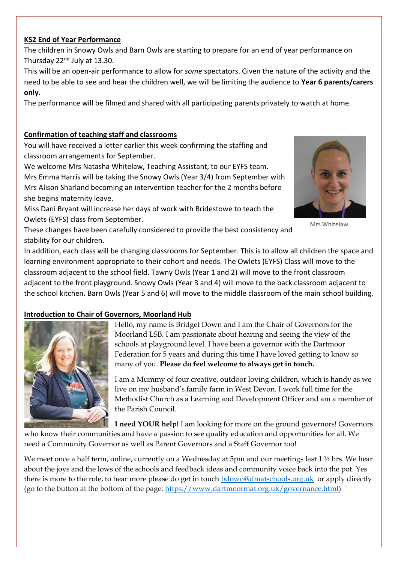# **KS2 End of Year Performance**

The children in Snowy Owls and Barn Owls are starting to prepare for an end of year performance on Thursday 22<sup>nd</sup> July at 13.30.

This will be an open-air performance to allow for *some* spectators. Given the nature of the activity and the need to be able to see and hear the children well, we will be limiting the audience to **Year 6 parents/carers only.** 

The performance will be filmed and shared with all participating parents privately to watch at home.

# **Confirmation of teaching staff and classrooms**

You will have received a letter earlier this week confirming the staffing and classroom arrangements for September.

We welcome Mrs Natasha Whitelaw, Teaching Assistant, to our EYFS team. Mrs Emma Harris will be taking the Snowy Owls (Year 3/4) from September with Mrs Alison Sharland becoming an intervention teacher for the 2 months before she begins maternity leave.

Miss Dani Bryant will increase her days of work with Bridestowe to teach the Owlets (EYFS) class from September.



Mrs Whitelaw

These changes have been carefully considered to provide the best consistency and stability for our children.

In addition, each class will be changing classrooms for September. This is to allow all children the space and learning environment appropriate to their cohort and needs. The Owlets (EYFS) Class will move to the classroom adjacent to the school field. Tawny Owls (Year 1 and 2) will move to the front classroom adjacent to the front playground. Snowy Owls (Year 3 and 4) will move to the back classroom adjacent to the school kitchen. Barn Owls (Year 5 and 6) will move to the middle classroom of the main school building.

# **Introduction to Chair of Governors, Moorland Hub**



Hello, my name is Bridget Down and I am the Chair of Governors for the Moorland LSB. I am passionate about hearing and seeing the view of the schools at playground level. I have been a governor with the Dartmoor Federation for 5 years and during this time I have loved getting to know so many of you. **Please do feel welcome to always get in touch.**

I am a Mummy of four creative, outdoor loving children, which is handy as we live on my husband's family farm in West Devon. I work full time for the Methodist Church as a Learning and Development Officer and am a member of the Parish Council.

**I need YOUR help!** I am looking for more on the ground governors! Governors

who know their communities and have a passion to see quality education and opportunities for all. We need a Community Governor as well as Parent Governors and a Staff Governor too!

We meet once a half term, online, currently on a Wednesday at 5pm and our meetings last 1 ½ hrs. We hear about the joys and the lows of the schools and feedback ideas and community voice back into the pot. Yes there is more to the role, to hear more please do get in touc[h bdown@dmatschools.org.uk](mailto:bdown@dmatschools.org.uk) or apply directly (go to the button at the bottom of the page: [https://www.dartmoormat.org.uk/governance.html\)](https://eur03.safelinks.protection.outlook.com/?url=https%3A%2F%2Fwww.dartmoormat.org.uk%2Fgovernance.html&data=04%7C01%7Cbdown%40dmatschools.org.uk%7C0b533ac9777e4f75e66a08d934a08da5%7C3b076d9078b24abd9e05c20f26289c46%7C0%7C0%7C637598686432016429%7CUnknown%7CTWFpbGZsb3d8eyJWIjoiMC4wLjAwMDAiLCJQIjoiV2luMzIiLCJBTiI6Ik1haWwiLCJXVCI6Mn0%3D%7C1000&sdata=3OvHh9Td%2FAarlYwZMTOzP3V0nFS2uNL2Ynu4g9%2Fg4UU%3D&reserved=0)